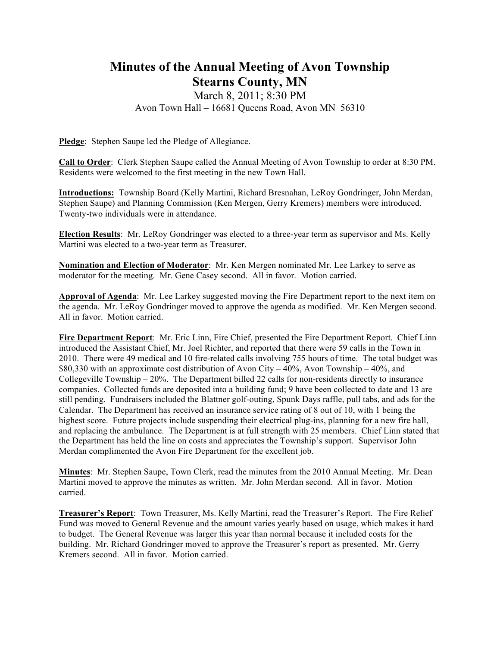## **Minutes of the Annual Meeting of Avon Township Stearns County, MN**

## March 8, 2011; 8:30 PM Avon Town Hall – 16681 Queens Road, Avon MN 56310

**Pledge**: Stephen Saupe led the Pledge of Allegiance.

**Call to Order**: Clerk Stephen Saupe called the Annual Meeting of Avon Township to order at 8:30 PM. Residents were welcomed to the first meeting in the new Town Hall.

**Introductions:** Township Board (Kelly Martini, Richard Bresnahan, LeRoy Gondringer, John Merdan, Stephen Saupe) and Planning Commission (Ken Mergen, Gerry Kremers) members were introduced. Twenty-two individuals were in attendance.

**Election Results**: Mr. LeRoy Gondringer was elected to a three-year term as supervisor and Ms. Kelly Martini was elected to a two-year term as Treasurer.

**Nomination and Election of Moderator**: Mr. Ken Mergen nominated Mr. Lee Larkey to serve as moderator for the meeting. Mr. Gene Casey second. All in favor. Motion carried.

**Approval of Agenda**: Mr. Lee Larkey suggested moving the Fire Department report to the next item on the agenda. Mr. LeRoy Gondringer moved to approve the agenda as modified. Mr. Ken Mergen second. All in favor. Motion carried.

**Fire Department Report**: Mr. Eric Linn, Fire Chief, presented the Fire Department Report. Chief Linn introduced the Assistant Chief, Mr. Joel Richter, and reported that there were 59 calls in the Town in 2010. There were 49 medical and 10 fire-related calls involving 755 hours of time. The total budget was \$80,330 with an approximate cost distribution of Avon City – 40%, Avon Township – 40%, and Collegeville Township  $-20\%$ . The Department billed 22 calls for non-residents directly to insurance companies. Collected funds are deposited into a building fund; 9 have been collected to date and 13 are still pending. Fundraisers included the Blattner golf-outing, Spunk Days raffle, pull tabs, and ads for the Calendar. The Department has received an insurance service rating of 8 out of 10, with 1 being the highest score. Future projects include suspending their electrical plug-ins, planning for a new fire hall, and replacing the ambulance. The Department is at full strength with 25 members. Chief Linn stated that the Department has held the line on costs and appreciates the Township's support. Supervisor John Merdan complimented the Avon Fire Department for the excellent job.

**Minutes**: Mr. Stephen Saupe, Town Clerk, read the minutes from the 2010 Annual Meeting. Mr. Dean Martini moved to approve the minutes as written. Mr. John Merdan second. All in favor. Motion carried.

**Treasurer's Report**: Town Treasurer, Ms. Kelly Martini, read the Treasurer's Report. The Fire Relief Fund was moved to General Revenue and the amount varies yearly based on usage, which makes it hard to budget. The General Revenue was larger this year than normal because it included costs for the building. Mr. Richard Gondringer moved to approve the Treasurer's report as presented. Mr. Gerry Kremers second. All in favor. Motion carried.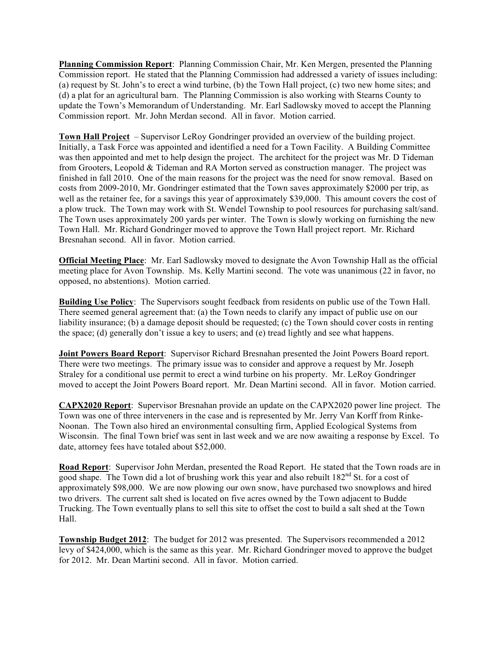**Planning Commission Report**: Planning Commission Chair, Mr. Ken Mergen, presented the Planning Commission report. He stated that the Planning Commission had addressed a variety of issues including: (a) request by St. John's to erect a wind turbine, (b) the Town Hall project, (c) two new home sites; and (d) a plat for an agricultural barn. The Planning Commission is also working with Stearns County to update the Town's Memorandum of Understanding. Mr. Earl Sadlowsky moved to accept the Planning Commission report. Mr. John Merdan second. All in favor. Motion carried.

**Town Hall Project** – Supervisor LeRoy Gondringer provided an overview of the building project. Initially, a Task Force was appointed and identified a need for a Town Facility. A Building Committee was then appointed and met to help design the project. The architect for the project was Mr. D Tideman from Grooters, Leopold & Tideman and RA Morton served as construction manager. The project was finished in fall 2010. One of the main reasons for the project was the need for snow removal. Based on costs from 2009-2010, Mr. Gondringer estimated that the Town saves approximately \$2000 per trip, as well as the retainer fee, for a savings this year of approximately \$39,000. This amount covers the cost of a plow truck. The Town may work with St. Wendel Township to pool resources for purchasing salt/sand. The Town uses approximately 200 yards per winter. The Town is slowly working on furnishing the new Town Hall. Mr. Richard Gondringer moved to approve the Town Hall project report. Mr. Richard Bresnahan second. All in favor. Motion carried.

**Official Meeting Place**: Mr. Earl Sadlowsky moved to designate the Avon Township Hall as the official meeting place for Avon Township. Ms. Kelly Martini second. The vote was unanimous (22 in favor, no opposed, no abstentions). Motion carried.

**Building Use Policy**: The Supervisors sought feedback from residents on public use of the Town Hall. There seemed general agreement that: (a) the Town needs to clarify any impact of public use on our liability insurance; (b) a damage deposit should be requested; (c) the Town should cover costs in renting the space; (d) generally don't issue a key to users; and (e) tread lightly and see what happens.

**Joint Powers Board Report**: Supervisor Richard Bresnahan presented the Joint Powers Board report. There were two meetings. The primary issue was to consider and approve a request by Mr. Joseph Straley for a conditional use permit to erect a wind turbine on his property. Mr. LeRoy Gondringer moved to accept the Joint Powers Board report. Mr. Dean Martini second. All in favor. Motion carried.

**CAPX2020 Report**: Supervisor Bresnahan provide an update on the CAPX2020 power line project. The Town was one of three interveners in the case and is represented by Mr. Jerry Van Korff from Rinke-Noonan. The Town also hired an environmental consulting firm, Applied Ecological Systems from Wisconsin. The final Town brief was sent in last week and we are now awaiting a response by Excel. To date, attorney fees have totaled about \$52,000.

**Road Report**: Supervisor John Merdan, presented the Road Report. He stated that the Town roads are in good shape. The Town did a lot of brushing work this year and also rebuilt 182<sup>nd</sup> St. for a cost of approximately \$98,000. We are now plowing our own snow, have purchased two snowplows and hired two drivers. The current salt shed is located on five acres owned by the Town adjacent to Budde Trucking. The Town eventually plans to sell this site to offset the cost to build a salt shed at the Town Hall.

**Township Budget 2012**: The budget for 2012 was presented. The Supervisors recommended a 2012 levy of \$424,000, which is the same as this year. Mr. Richard Gondringer moved to approve the budget for 2012. Mr. Dean Martini second. All in favor. Motion carried.